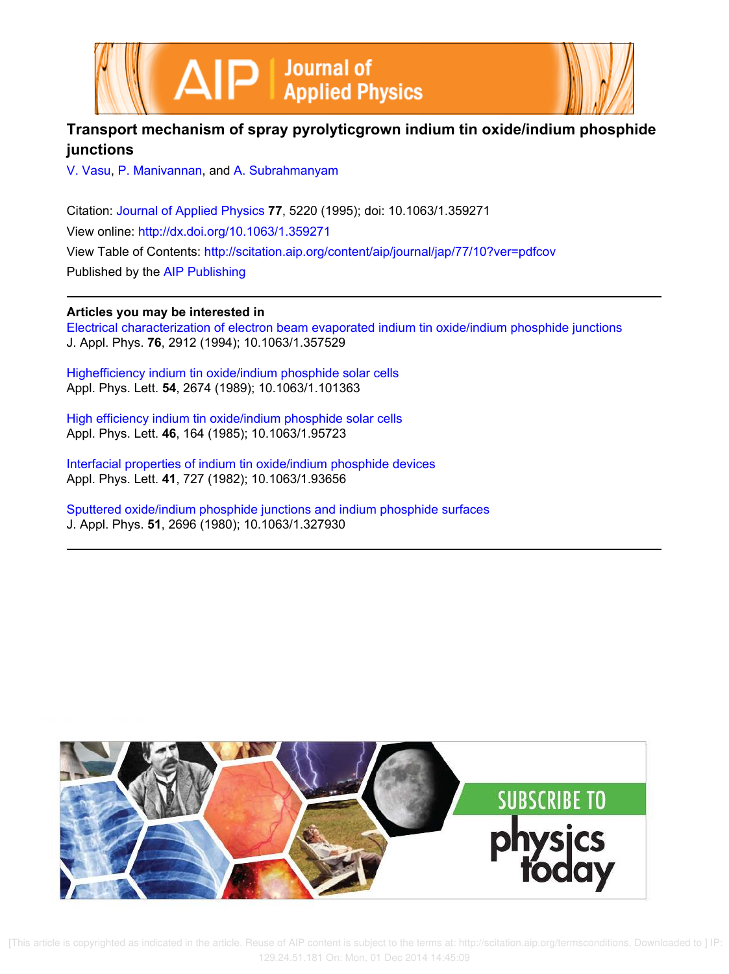



# **Transport mechanism of spray pyrolyticgrown indium tin oxide/indium phosphide junctions**

V. Vasu, P. Manivannan, and A. Subrahmanyam

Citation: Journal of Applied Physics **77**, 5220 (1995); doi: 10.1063/1.359271 View online: http://dx.doi.org/10.1063/1.359271 View Table of Contents: http://scitation.aip.org/content/aip/journal/jap/77/10?ver=pdfcov Published by the AIP Publishing

# **Articles you may be interested in**

Electrical characterization of electron beam evaporated indium tin oxide/indium phosphide junctions J. Appl. Phys. **76**, 2912 (1994); 10.1063/1.357529

Highefficiency indium tin oxide/indium phosphide solar cells Appl. Phys. Lett. **54**, 2674 (1989); 10.1063/1.101363

High efficiency indium tin oxide/indium phosphide solar cells Appl. Phys. Lett. **46**, 164 (1985); 10.1063/1.95723

Interfacial properties of indium tin oxide/indium phosphide devices Appl. Phys. Lett. **41**, 727 (1982); 10.1063/1.93656

Sputtered oxide/indium phosphide junctions and indium phosphide surfaces J. Appl. Phys. **51**, 2696 (1980); 10.1063/1.327930

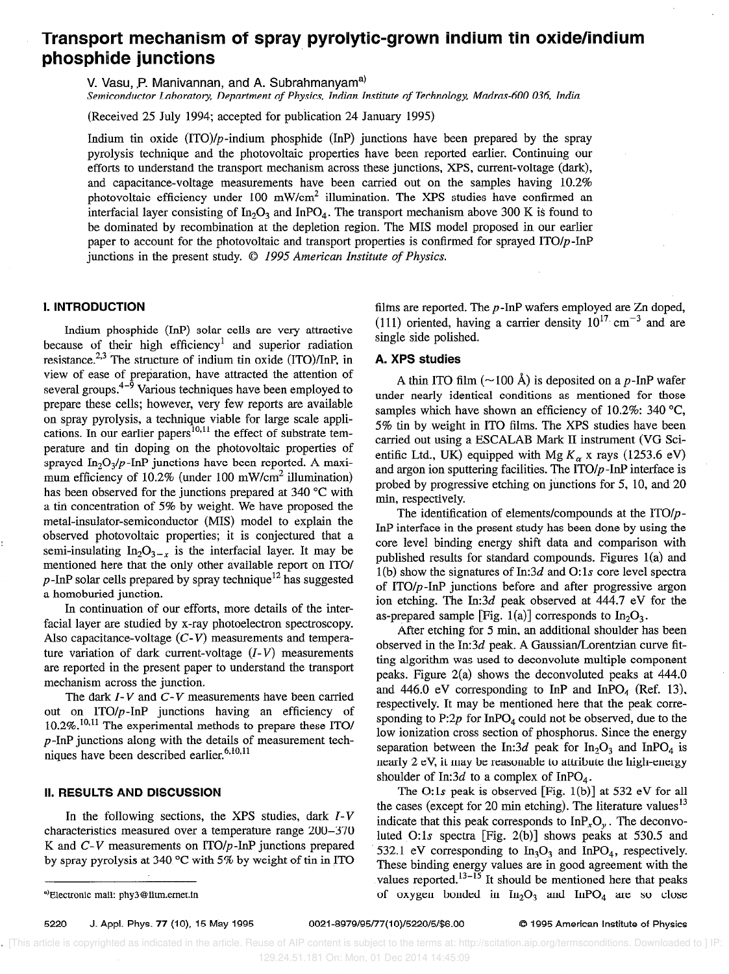# Transport mechanism of spray pyrolytic-grown indium tin oxide/indium phosphide junctions

V. Vasu, P. Manivannan, and A. Subrahmanyam<sup>a)</sup>

Semiconductor Laboratory, Department of Physics, Indian Institute of Technology, Madras-600 036, India

(Received 25 July 1994; accepted for publication 24 January 1995)

Indium tin oxide  $(ITO)/p$ -indium phosphide  $(InP)$  junctions have been prepared by the spray pyrolysis technique and the photovoltaic properties have been reported earlier. Continuing our efforts to understand the transport mechanism across these junctions, XPS, current-voltage (dark), and capacitance-voltage measurements have been carried out on the samples having 10.2% photovoltaic efficiency under 100 mW/cm<sup>2</sup> illumination. The XPS studies have confirmed an interfacial layer consisting of  $In_2O_3$  and InPO<sub>4</sub>. The transport mechanism above 300 K is found to be dominated by recombination at the depletion region. The MIS model proposed in our earlier paper to account for the photovoltaic and transport properties is confirmed for sprayed ITO/p-InP junctions in the present study.  $\odot$  1995 American Institute of Physics.

## I. INTRODUCTION

Indium phosphide (InP) solar cells are very attractive because of their high efficiency' and superior radiation resistance. $2,3$  The structure of indium tin oxide (ITO)/InP, in view of ease of preparation, have attracted the attention of several groups. $4-\frac{5}{9}$  Various techniques have been employed to prepare these cells; however, very few reports are available on spray pyrolysis, a technique viable for large scale applications. In our earlier papers $^{10,11}$  the effect of substrate temperature and tin doping on the photovoltaic properties of sprayed  $In_2O_3/p$ -InP junctions have been reported. A maximum efficiency of 10.2% (under 100 mW/cm<sup>2</sup> illumination) has been observed for the junctions prepared at 340 °C with a tin concentration of 5% by weight. We have proposed the metal-insulator-semiconductor (MIS) model to explain the observed photovoltaic properties; it is conjectured that a semi-insulating  $In_2O_{3-x}$  is the interfacial layer. It may be mentioned here that the only other available report on ITO/  $p$ -InP solar cells prepared by spray technique<sup>12</sup> has suggested a homoburied junction.

In continuation of our efforts, more details of the interfacial layer are studied by x-ray photoelectron spectroscopy. Also capacitance-voltage  $(C-V)$  measurements and temperature variation of dark current-voltage  $(I-V)$  measurements are reported in the present paper to understand the transport mechanism across the junction.

The dark  $I-V$  and  $C-V$  measurements have been carried out on  $ITO/p-InP$  junctions having an efficiency of  $10.2\%$ .<sup>10,11</sup> The experimental methods to prepare these ITO/ p-InP junctions along with the details of measurement techniques have been described earlier. $6,10,11$ 

### II. RESULTS AND DISCUSSION

In the following sections, the XPS studies, dark  $I-V$ characteristics measured over a temperature range 200-370 K and  $C-V$  measurements on  $ITO/p$ -InP junctions prepared by spray pyrolysis at  $340^{\circ}$ C with 5% by weight of tin in ITO

5220 J. Appl. Phys. 77 (IO), 15 May 1995 0021-8979/95/77(10)/5220/5/\$6.00 0 1995 American Institute of Physics

filins are reported. The p-InP wafers employed are Zn doped, (111) oriented, having a carrier density  $10^{17}$  cm<sup>-3</sup> and are single side polished.

## A. XPS studies

A thin ITO film ( $\sim$ 100 Å) is deposited on a p-InP wafer under nearly identical conditions as mentioned for those samples which have shown an efficiency of 10.2%: 340  $^{\circ}C$ , 5% tin by weight in IT0 films. The XPS studies have been carried out using a ESCALAB Mark II instrument (VG Scientific Ltd., UK) equipped with Mg  $K_{\alpha}$  x rays (1253.6 eV) and argon ion sputtering facilities. The  $ITO/p$ -InP interface is probed by progressive etching on junctions for 5, 10, and 20 min, respectiveIy.

The identification of elements/compounds at the  $ITO/p$ -InP interface in the present study has been done by using the core level binding energy shift data and comparison with published results for standard compounds. Figures l(a) and  $1(b)$  show the signatures of In:3d and O:1s core level spectra of ITO $/p$ -InP junctions before and after progressive argon ion etching. The In:3d peak observed at 444.7 eV for the as-prepared sample [Fig. 1(a)] corresponds to  $In_2O_3$ .

After etching for 5 min, an additional shoulder has been observed in the In:3d peak. A Gaussian/Lorentzian curve fitting algorithm was used to deconvolute multiple component peaks. Figure 2(a) shows the deconvoluted peaks at 444.0 and 446.0 eV corresponding to InP and InPO<sub>4</sub> (Ref. 13), respectively. It may be mentioned here that the peak corresponding to  $P:2p$  for InPO<sub>4</sub> could not be observed, due to the low ionization cross section of phosphorus. Since the energy separation between the In:3d peak for  $In_2O_3$  and InPO<sub>4</sub> is nearly 2 eV, it may be reasonable to attribute the high-energy shoulder of In:3d to a complex of InPO<sub>4</sub>.

The O: 1s peak is observed [Fig. 1(b)] at 532 eV for all the cases (except for 20 min etching). The literature values<sup>13</sup> indicate that this peak corresponds to  $InP<sub>r</sub>O<sub>v</sub>$ . The deconvoluted 0:ls spectra [Fig. 2(b)] shows peaks at 530.5 and 532.1 eV corresponding to  $In_3O_3$  and InPO<sub>4</sub>, respectively. These binding energy values are in good agreement with the values reported. $13-15$  It should be mentioned here that peaks of oxygen bonded in  $In_2O_3$  and  $InPO_4$  are so close

<sup>\*</sup>Blectronic mail: phy3@iitm.ernet.in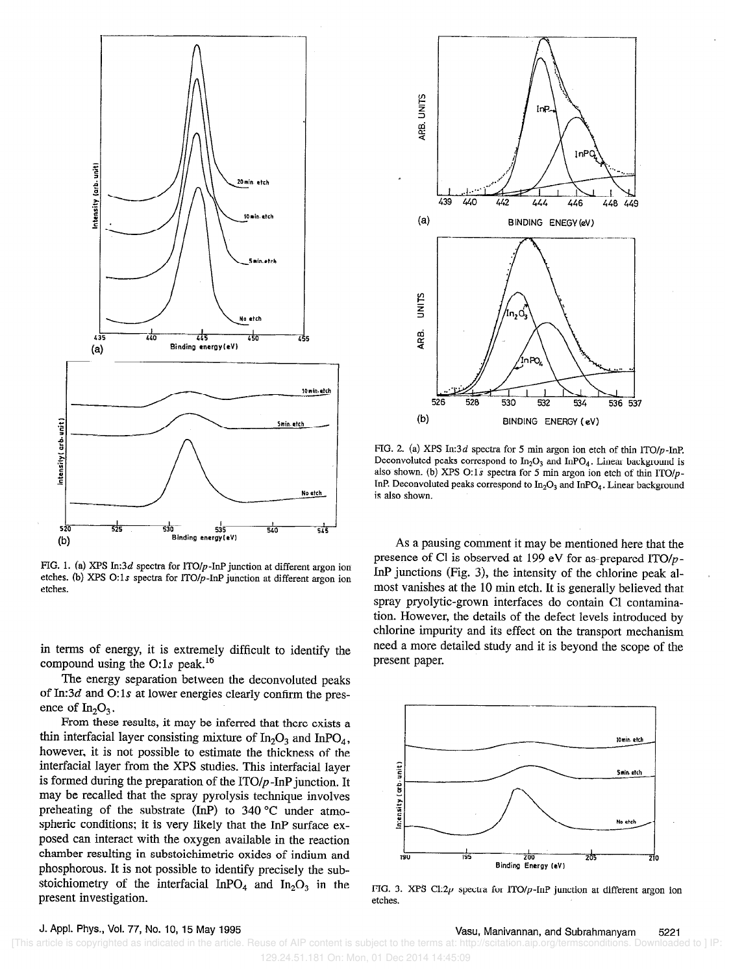

FIG. 1. (a) XPS In:3d spectra for  $1TO/p$ -InP junction at different argon ion etches. (b) XPS O:1s spectra for  $\text{ITO}/p\text{-InP}$  junction at different argon ion etches.

in terms of energy, it is extremely difficult to identify the compound using the O:1s peak.<sup>16</sup>

The energy separation between the deconvoluted peaks of In:3d and O:1s at lower energies clearly confirm the presence of  $In_2O_3$ .

From these results, it may be inferred that there exists a thin interfacial layer consisting mixture of  $In_2O_3$  and  $InPO_4$ , however, it is not possible to estimate the thickness of the interfacial layer from the XPS studies. This interfacial layer is formed during the preparation of the  $ITO/p$ -InP junction. It may be recalled that the spray pyrolysis technique involves preheating of the substrate (InP) to 340  $^{\circ}$ C under atmospheric conditions; it is very likely that the InP surface exposed can interact with the oxygen available in the reaction chamber resulting in substoichimetric oxides of indium and phosphorous. It is not possible to identify precisely the substoichiometry of the interfacial InPO<sub>4</sub> and  $In_2O_3$  in the present investigation.



FIG. 2. (a) XPS In:3d spectra for 5 min argon ion etch of thin ITO/p-InP. Deconvoluted peaks correspond to  $In_2O_3$  and InPO<sub>4</sub>. Linear background is also shown. (b) XPS 0:1s spectra for 5 min argon ion etch of thin ITO/p-InP. Deconvoluted peaks correspond to  $In_2O_3$  and  $InPO_4$ . Linear background is also shown.

As a pausing comment it may be mentioned here that the presence of Cl is observed at 199 eV for as-prepared ITO/ $p$ -InP junctions (Fig. 3), the intensity of the chlorine peak almost vanishes at the 10 min etch. It is generally believed that spray pryolytic-grown interfaces do contain Cl contamination. However, the details of the defect levels introduced by chlorine impurity and its effect on the transport mechanism need a more detailed study and it is beyond the scope of the present paper.



FIG. 3. XPS C1:2 $p$  spectra for ITO/ $p$ -InP junction at different argon ion etches.

v. Ppl. 1193, vol. 77, ivo. 10, 19 may 1990<br>[This article is copyrighted as indicated in the article. Reuse of AIP content is subject to the terms at: http://scitation.aip.org/termsconditions. Downloaded to ] IP: 129.24.51.181 On: Mon, 01 Dec 2014 14:45:09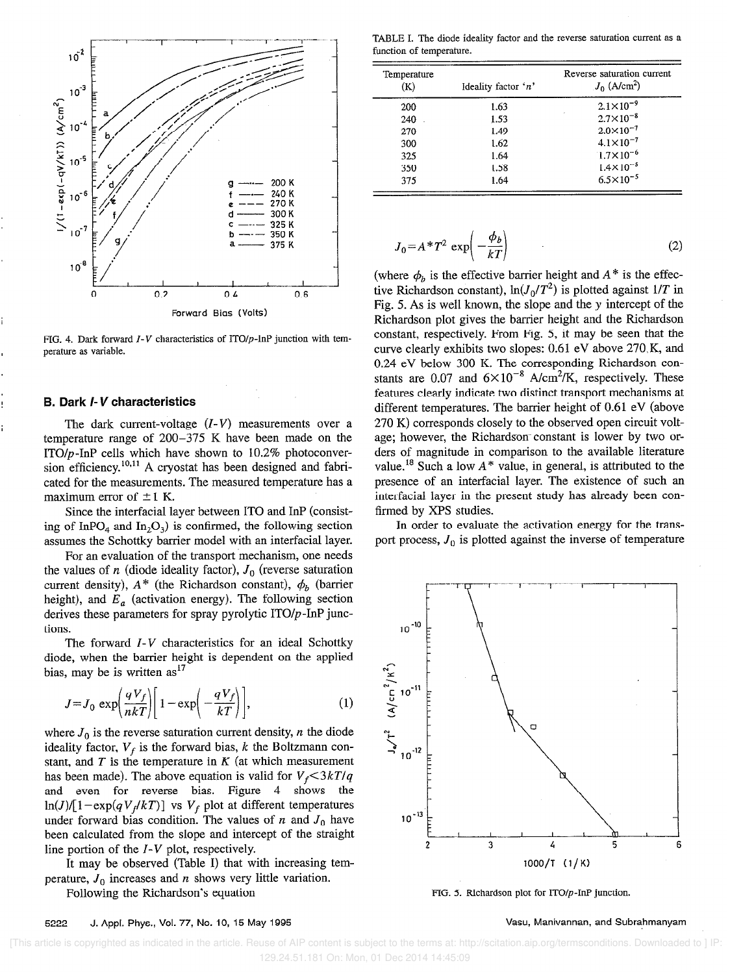

FIG. 4. Dark forward  $I-V$  characteristics of ITO/p-InP junction with temperature as variable.

#### B. Dark I- V characteristics

The dark current-voltage  $(I-V)$  measurements over a temperature range of 200-375 K have been made on the ITO/ $p$ -InP cells which have shown to 10.2% photoconversion efficiency.<sup>10,11</sup> A cryostat has been designed and fabricated for the measurements. The measured temperature has a maximum error of  $\pm 1$  K.

Since the interfacial layer between ITO and InP (consisting of InPO<sub>4</sub> and In<sub>2</sub>O<sub>3</sub>) is confirmed, the following section assumes the Schottky barrier model with an interfacial layer.

For an evaluation of the transport mechanism, one needs the values of n (diode ideality factor),  $J_0$  (reverse saturation current density),  $A^*$  (the Richardson constant),  $\phi_b$  (barrier height), and  $E_a$  (activation energy). The following section derives these parameters for spray pyrolytic  $ITO/p$ -InP junctions.

The forward  $I-V$  characteristics for an ideal Schottky diode, when the barrier height is dependent on the applied bias, may be is written  $as<sup>17</sup>$ 

$$
J = J_0 \exp\left(\frac{qV_f}{nkT}\right) \left[1 - \exp\left(-\frac{qV_f}{kT}\right)\right],\tag{1}
$$

where  $J_0$  is the reverse saturation current density, *n* the diode ideality factor,  $V_f$  is the forward bias, k the Boltzmann constant, and  $T$  is the temperature in  $K$  (at which measurement has been made). The above equation is valid for  $V_f < 3kT/q$ and even for reverse bias. Figure 4 shows the  $\ln(J)/[1 - \exp(qV_f/kT)]$  vs  $V_f$  plot at different temperatures under forward bias condition. The values of n and  $J_0$  have been calculated from the slope and intercept of the straight line portion of the  $I-V$  plot, respectively.

It may be observed (Table I) that with increasing temperature,  $J_0$  increases and n shows very little variation.

Following the Richardson's equation

TABLE I. The diode ideality factor and the reverse saturation current as a function of temperature.

| Temperature<br>(K) | Ideality factor 'n' | Reverse saturation current<br>$J_0$ (A/cm <sup>2</sup> ) |
|--------------------|---------------------|----------------------------------------------------------|
| 200                | 1.63                | $2.1 \times 10^{-9}$                                     |
| 240                | 1.53                | $2.7 \times 10^{-8}$                                     |
| 270                | 1.49                | $2.0 \times 10^{-7}$                                     |
| 300                | 1.62                | $4.1 \times 10^{-7}$                                     |
| 325                | 1.64                | $1.7 \times 10^{-6}$                                     |
| 350                | 1.58                | $1.4 \times 10^{-5}$                                     |
| 375                | 1.64                | $6.5 \times 10^{-5}$                                     |

$$
J_0 = A^* T^2 \exp\left(-\frac{\phi_b}{kT}\right) \tag{2}
$$

(where  $\phi_h$  is the effective barrier height and  $A^*$  is the effective Richardson constant),  $ln(J_0/T^2)$  is plotted against 1/T in Fig. 5. As is well known, the slope and the y intercept of the Richardson plot gives the barrier height and the Richardson constant, respectively. From Fig. 5, it may be seen that the curve clearly exhibits two slopes: 0.61 eV above 270, K, and 0.24 eV below 300 K. The corresponding Richardson constants are 0.07 and  $6 \times 10^{-8}$  A/cm<sup>2</sup>/K, respectively. These features clearly indicate two distinct transport mechanisms at different temperatures. The barrier height of 0.61 eV (above 270 K) corresponds closely to the observed open circuit voltage; however, the Richardson-constant is lower by two orders of magnitude in comparison to the available literature value.<sup>18</sup> Such a low  $A^*$  value, in general, is attributed to the presence of an interfacial layer. The existence of such an interfacial layer in the present study has already been confirmed by XPS studies.

In order to evaluate the activation energy for the transport process,  $J_0$  is plotted against the inverse of temperature



FIG. 5. Richardson plot for  $ITO/p$ -InP junction.

#### 5222 J. Appl. Phys., Vol. 77, No. IO, 15 May 1995 Vasu, Manivannan, and Subrahmanyam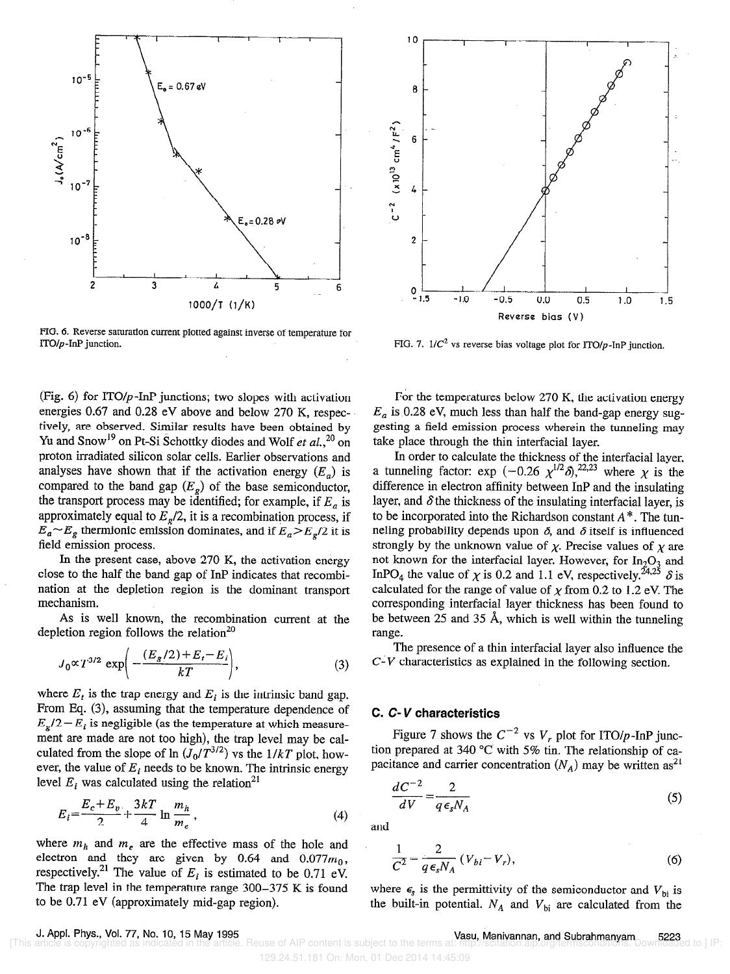

FIG. 6. Reverse saturation current plotted against inverse of temperature for ITO/p-InP junction.

(Fig. 6) for ITO/ $p$ -InP junctions; two slopes with activation energies 0.67 and 0.28 eV above and below 270 K, respectively, are observed. Similar results have been obtained by Yu and Snow<sup>19</sup> on Pt-Si Schottky diodes and Wolf et al.,<sup>20</sup> on proton irradiated silicon solar cells. Earlier observations and analyses have shown that if the activation energy  $(E_a)$  is compared to the band gap  $(E<sub>g</sub>)$  of the base semiconductor, the transport process may be identified; for example, if  $E_a$  is approximately equal to  $E<sub>g</sub>/2$ , it is a recombination process, if  $E_a \sim E_g$  thermionic emission dominates, and if  $E_a > E_g/2$  it is field emission process.

In the present case, above 270 K, the activation energy close to the half the band gap of InP indicates that recombination at the depletion region is the dominant transport mechanism.

As is well known, the recombination current at the depletion region follows the relation<sup>20</sup>

$$
J_0 \propto T^{3/2} \exp\left(-\frac{(E_g/2) + E_t - E_i}{kT}\right),\tag{3}
$$

where  $E_t$  is the trap energy and  $E_i$  is the intrinsic band gap. From Eq. (3), assuming that the temperature dependence of  $E_g/2 - E_i$  is negligible (as the temperature at which measurement are made are not too high), the trap level may be calculated from the slope of  $\ln (J_0/T^{3/2})$  vs the  $1/kT$  plot, however, the value of  $E_i$  needs to be known. The intrinsic energy level  $E_i$  was calculated using the relation<sup>21</sup>

$$
E_i = \frac{E_c + E_v}{2} + \frac{3kT}{4} \ln \frac{m_h}{m_e},
$$
 (4)

where  $m_h$  and  $m_e$  are the effective mass of the hole and electron and they are given by 0.64 and  $0.077m_0$ , respectively.<sup>21</sup> The value of  $E_i$  is estimated to be 0.71 eV. The trap level in the temperature range 300-375 K is found to be 0.71 eV (approximately mid-gap region).



FIG. 7.  $1/C^2$  vs reverse bias voltage plot for ITO/p-InP junction.

For the temperatures below 270 K, the activation energy  $E_a$  is 0.28 eV, much less than half the band-gap energy suggesting a field emission process wherein the tunneling may take place through the thin interfacial layer.

In order to calculate the thickness of the interfacial layer, a tunneling factor: exp (-0.26  $\chi^{\prime\prime}$ - $\delta$ ),<sup>22,23</sup> where  $\chi$  is the difference in electron affinity between InP and the insulating layer, and  $\delta$  the thickness of the insulating interfacial layer, is to be incorporated into the Richardson constant  $A^*$ . The tunneling probability depends upon  $\delta$ , and  $\delta$  itself is influenced strongly by the unknown value of  $\chi$ . Precise values of  $\chi$  are not known for the interfacial layer. However, for  $In_2O_3$  and InPO<sub>4</sub> the value of  $\chi$  is 0.2 and 1.1 eV, respectively.<sup>24,25</sup>  $\delta$  is calculated for the range of value of  $\chi$  from 0.2 to 1.2 eV. The corresponding interfacial layer thickness has been found to be between 25 and 35 A, which is well within the tunneling range.

The presence of a thin interfacial layer also influence the C-V characteristics as explained in the following section.

# C. C-V characteristics

Figure 7 shows the  $C^{-2}$  vs  $V_r$ , plot for ITO/p-InP junction prepared at 340 °C with 5% tin. The relationship of capacitance and carrier concentration  $(N_A)$  may be written as<sup>21</sup>

$$
\frac{dC^{-2}}{dV} = \frac{2}{q\epsilon_s N_A} \tag{5}
$$

and

$$
\frac{1}{C^2} = \frac{2}{q\epsilon_s N_A} (V_{bi} - V_r),
$$
 (6)

where  $\epsilon_s$  is the permittivity of the semiconductor and  $V_{bi}$  is the built-in potential.  $N_A$  and  $V_{bi}$  are calculated from the